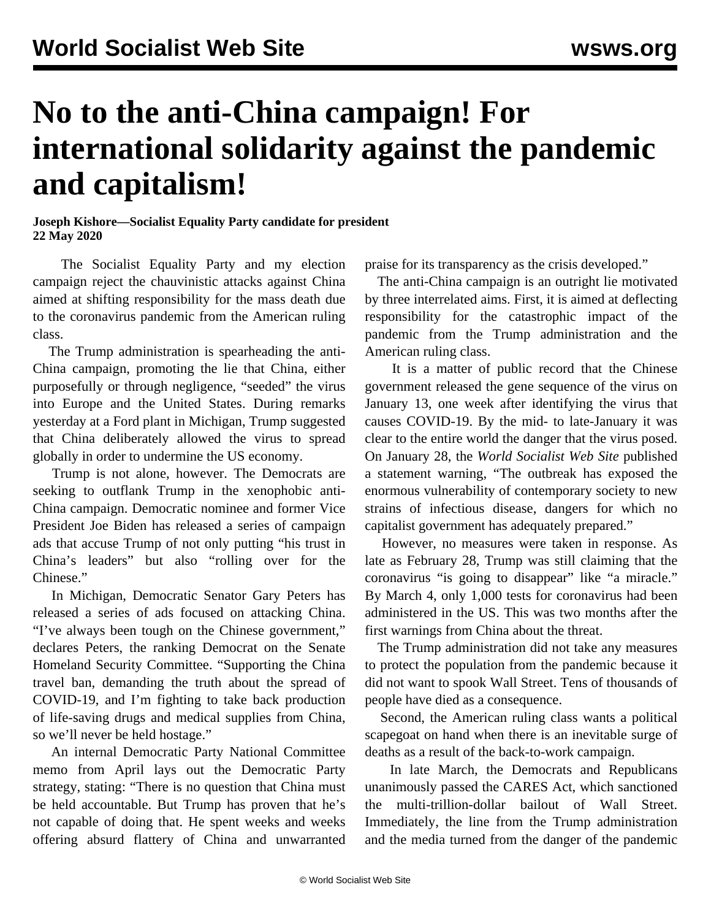## **No to the anti-China campaign! For international solidarity against the pandemic and capitalism!**

## **Joseph Kishore—Socialist Equality Party candidate for president 22 May 2020**

 The Socialist Equality Party and my election campaign reject the chauvinistic attacks against China aimed at shifting responsibility for the mass death due to the coronavirus pandemic from the American ruling class.

 The Trump administration is spearheading the anti-China campaign, promoting the lie that China, either purposefully or through negligence, "seeded" the virus into Europe and the United States. During remarks yesterday at a Ford plant in Michigan, Trump suggested that China deliberately allowed the virus to spread globally in order to undermine the US economy.

 Trump is not alone, however. The Democrats are seeking to outflank Trump in the xenophobic anti-China campaign. Democratic nominee and former Vice President Joe Biden has released a series of campaign ads that accuse Trump of not only putting "his trust in China's leaders" but also "rolling over for the Chinese."

 In Michigan, Democratic Senator Gary Peters has released a series of ads focused on attacking China. "I've always been tough on the Chinese government," declares Peters, the ranking Democrat on the Senate Homeland Security Committee. "Supporting the China travel ban, demanding the truth about the spread of COVID-19, and I'm fighting to take back production of life-saving drugs and medical supplies from China, so we'll never be held hostage."

 An internal Democratic Party National Committee memo from April lays out the Democratic Party strategy, stating: "There is no question that China must be held accountable. But Trump has proven that he's not capable of doing that. He spent weeks and weeks offering absurd flattery of China and unwarranted

praise for its transparency as the crisis developed."

 The anti-China campaign is an outright lie motivated by three interrelated aims. First, it is aimed at deflecting responsibility for the catastrophic impact of the pandemic from the Trump administration and the American ruling class.

 It is a matter of public record that the Chinese government released the gene sequence of the virus on January 13, one week after identifying the virus that causes COVID-19. By the mid- to late-January it was clear to the entire world the danger that the virus posed. On January 28, the *World Socialist Web Site* published a [statement](/en/articles/2020/01/28/pers-j28.html) warning, "The outbreak has exposed the enormous vulnerability of contemporary society to new strains of infectious disease, dangers for which no capitalist government has adequately prepared."

 However, no measures were taken in response. As late as February 28, Trump was still claiming that the coronavirus "is going to disappear" like "a miracle." By March 4, only 1,000 tests for coronavirus had been administered in the US. This was two months after the first warnings from China about the threat.

 The Trump administration did not take any measures to protect the population from the pandemic because it did not want to spook Wall Street. Tens of thousands of people have died as a consequence.

 Second, the American ruling class wants a political scapegoat on hand when there is an inevitable surge of deaths as a result of the back-to-work campaign.

 In late March, the Democrats and Republicans unanimously passed the CARES Act, which sanctioned the multi-trillion-dollar bailout of Wall Street. Immediately, the line from the Trump administration and the media turned from the danger of the pandemic